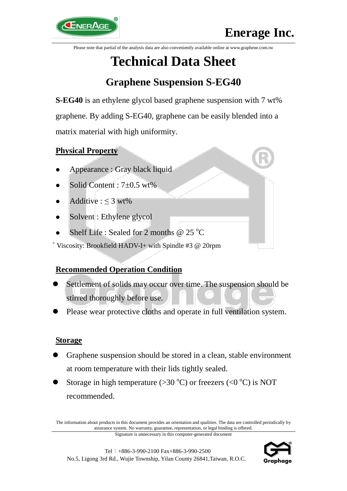

Please note that partial of the analysis data are also conveniently available online at www.graphene.com.tw

# **Technical Data Sheet**

# **Graphene Suspension S-EG40**

**S-EG40** is an ethylene glycol based graphene suspension with 7 wt% graphene. By adding S-EG40, graphene can be easily blended into a matrix material with high uniformity.

# **Physical Property**

- Appearance : Gray black liquid
- Solid Content : 7±0.5 wt%
- Additive :  $\leq 3$  wt%
- Solvent : Ethylene glycol
- Shelf Life : Sealed for 2 months @  $25^{\circ}$ C

<sup>+</sup> Viscosity: Brookfield HADV-I+ with Spindle #3  $@$  20rpm

# **Recommended Operation Condition**

- Settlement of solids may occur over time. The suspension should be stirred thoroughly before use.
- Please wear protective cloths and operate in full ventilation system.

### **Storage**

- Graphene suspension should be stored in a clean, stable environment at room temperature with their lids tightly sealed.
- Storage in high temperature ( $>30^{\circ}$ C) or freezers ( $<0^{\circ}$ C) is NOT recommended.

The information about products in this document provides an orientation and qualities. The data are controlled periodically by assurance system. No warranty, guarantee, representation, or legal binding is offered.

Signature is unnecessary in this computer-generated document



Tel:+886-3-990-2100 Fax+886-3-990-2500 No.5, Ligong 3rd Rd., Wujie Township, Yilan County 26841,Taiwan, R.O.C.